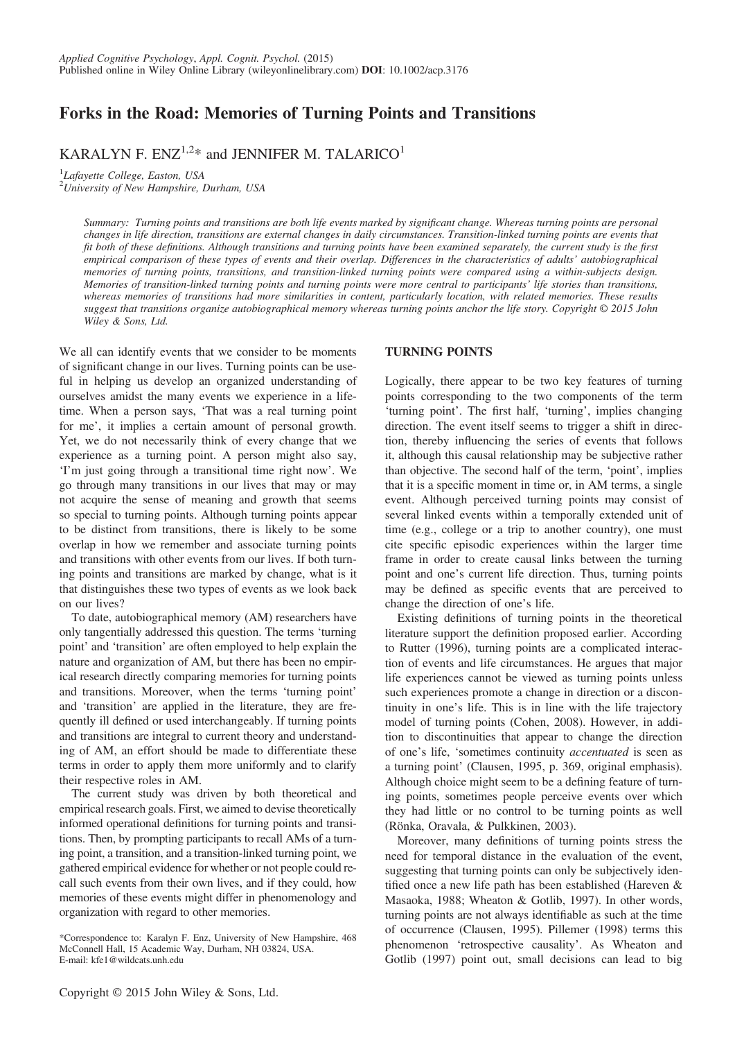# Forks in the Road: Memories of Turning Points and Transitions

# KARALYN F.  $ENZ^{1,2*}$  and JENNIFER M. TALARICO<sup>1</sup>

<sup>1</sup>Lafayette College, Easton, USA

 $^{2}$ University of New Hampshire, Durham, USA

Summary: Turning points and transitions are both life events marked by significant change. Whereas turning points are personal changes in life direction, transitions are external changes in daily circumstances. Transition-linked turning points are events that fit both of these definitions. Although transitions and turning points have been examined separately, the current study is the first empirical comparison of these types of events and their overlap. Differences in the characteristics of adults' autobiographical memories of turning points, transitions, and transition-linked turning points were compared using a within-subjects design. Memories of transition-linked turning points and turning points were more central to participants' life stories than transitions, whereas memories of transitions had more similarities in content, particularly location, with related memories. These results suggest that transitions organize autobiographical memory whereas turning points anchor the life story. Copyright © 2015 John Wiley & Sons, Ltd.

We all can identify events that we consider to be moments of significant change in our lives. Turning points can be useful in helping us develop an organized understanding of ourselves amidst the many events we experience in a lifetime. When a person says, 'That was a real turning point for me', it implies a certain amount of personal growth. Yet, we do not necessarily think of every change that we experience as a turning point. A person might also say, 'I'm just going through a transitional time right now'. We go through many transitions in our lives that may or may not acquire the sense of meaning and growth that seems so special to turning points. Although turning points appear to be distinct from transitions, there is likely to be some overlap in how we remember and associate turning points and transitions with other events from our lives. If both turning points and transitions are marked by change, what is it that distinguishes these two types of events as we look back on our lives?

To date, autobiographical memory (AM) researchers have only tangentially addressed this question. The terms 'turning point' and 'transition' are often employed to help explain the nature and organization of AM, but there has been no empirical research directly comparing memories for turning points and transitions. Moreover, when the terms 'turning point' and 'transition' are applied in the literature, they are frequently ill defined or used interchangeably. If turning points and transitions are integral to current theory and understanding of AM, an effort should be made to differentiate these terms in order to apply them more uniformly and to clarify their respective roles in AM.

The current study was driven by both theoretical and empirical research goals. First, we aimed to devise theoretically informed operational definitions for turning points and transitions. Then, by prompting participants to recall AMs of a turning point, a transition, and a transition-linked turning point, we gathered empirical evidence for whether or not people could recall such events from their own lives, and if they could, how memories of these events might differ in phenomenology and organization with regard to other memories.

## TURNING POINTS

Logically, there appear to be two key features of turning points corresponding to the two components of the term 'turning point'. The first half, 'turning', implies changing direction. The event itself seems to trigger a shift in direction, thereby influencing the series of events that follows it, although this causal relationship may be subjective rather than objective. The second half of the term, 'point', implies that it is a specific moment in time or, in AM terms, a single event. Although perceived turning points may consist of several linked events within a temporally extended unit of time (e.g., college or a trip to another country), one must cite specific episodic experiences within the larger time frame in order to create causal links between the turning point and one's current life direction. Thus, turning points may be defined as specific events that are perceived to change the direction of one's life.

Existing definitions of turning points in the theoretical literature support the definition proposed earlier. According to Rutter (1996), turning points are a complicated interaction of events and life circumstances. He argues that major life experiences cannot be viewed as turning points unless such experiences promote a change in direction or a discontinuity in one's life. This is in line with the life trajectory model of turning points (Cohen, 2008). However, in addition to discontinuities that appear to change the direction of one's life, 'sometimes continuity accentuated is seen as a turning point' (Clausen, 1995, p. 369, original emphasis). Although choice might seem to be a defining feature of turning points, sometimes people perceive events over which they had little or no control to be turning points as well (Rönka, Oravala, & Pulkkinen, 2003).

Moreover, many definitions of turning points stress the need for temporal distance in the evaluation of the event, suggesting that turning points can only be subjectively identified once a new life path has been established (Hareven & Masaoka, 1988; Wheaton & Gotlib, 1997). In other words, turning points are not always identifiable as such at the time of occurrence (Clausen, 1995). Pillemer (1998) terms this phenomenon 'retrospective causality'. As Wheaton and Gotlib (1997) point out, small decisions can lead to big

<sup>\*</sup>Correspondence to: Karalyn F. Enz, University of New Hampshire, 468 McConnell Hall, 15 Academic Way, Durham, NH 03824, USA. E-mail: kfe1@wildcats.unh.edu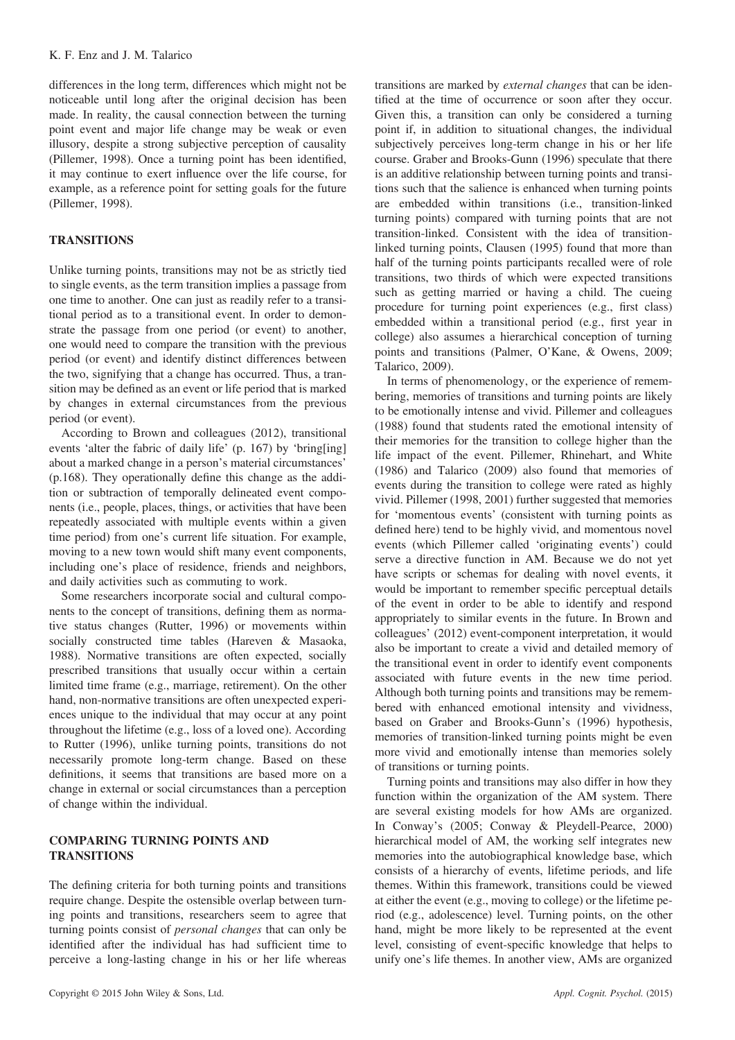differences in the long term, differences which might not be noticeable until long after the original decision has been made. In reality, the causal connection between the turning point event and major life change may be weak or even illusory, despite a strong subjective perception of causality (Pillemer, 1998). Once a turning point has been identified, it may continue to exert influence over the life course, for example, as a reference point for setting goals for the future (Pillemer, 1998).

# **TRANSITIONS**

Unlike turning points, transitions may not be as strictly tied to single events, as the term transition implies a passage from one time to another. One can just as readily refer to a transitional period as to a transitional event. In order to demonstrate the passage from one period (or event) to another, one would need to compare the transition with the previous period (or event) and identify distinct differences between the two, signifying that a change has occurred. Thus, a transition may be defined as an event or life period that is marked by changes in external circumstances from the previous period (or event).

According to Brown and colleagues (2012), transitional events 'alter the fabric of daily life' (p. 167) by 'bring[ing] about a marked change in a person's material circumstances' (p.168). They operationally define this change as the addition or subtraction of temporally delineated event components (i.e., people, places, things, or activities that have been repeatedly associated with multiple events within a given time period) from one's current life situation. For example, moving to a new town would shift many event components, including one's place of residence, friends and neighbors, and daily activities such as commuting to work.

Some researchers incorporate social and cultural components to the concept of transitions, defining them as normative status changes (Rutter, 1996) or movements within socially constructed time tables (Hareven & Masaoka, 1988). Normative transitions are often expected, socially prescribed transitions that usually occur within a certain limited time frame (e.g., marriage, retirement). On the other hand, non-normative transitions are often unexpected experiences unique to the individual that may occur at any point throughout the lifetime (e.g., loss of a loved one). According to Rutter (1996), unlike turning points, transitions do not necessarily promote long-term change. Based on these definitions, it seems that transitions are based more on a change in external or social circumstances than a perception of change within the individual.

## COMPARING TURNING POINTS AND **TRANSITIONS**

The defining criteria for both turning points and transitions require change. Despite the ostensible overlap between turning points and transitions, researchers seem to agree that turning points consist of personal changes that can only be identified after the individual has had sufficient time to perceive a long-lasting change in his or her life whereas

transitions are marked by external changes that can be identified at the time of occurrence or soon after they occur. Given this, a transition can only be considered a turning point if, in addition to situational changes, the individual subjectively perceives long-term change in his or her life course. Graber and Brooks-Gunn (1996) speculate that there is an additive relationship between turning points and transitions such that the salience is enhanced when turning points are embedded within transitions (i.e., transition-linked turning points) compared with turning points that are not transition-linked. Consistent with the idea of transitionlinked turning points, Clausen (1995) found that more than half of the turning points participants recalled were of role transitions, two thirds of which were expected transitions such as getting married or having a child. The cueing procedure for turning point experiences (e.g., first class) embedded within a transitional period (e.g., first year in college) also assumes a hierarchical conception of turning points and transitions (Palmer, O'Kane, & Owens, 2009; Talarico, 2009).

In terms of phenomenology, or the experience of remembering, memories of transitions and turning points are likely to be emotionally intense and vivid. Pillemer and colleagues (1988) found that students rated the emotional intensity of their memories for the transition to college higher than the life impact of the event. Pillemer, Rhinehart, and White (1986) and Talarico (2009) also found that memories of events during the transition to college were rated as highly vivid. Pillemer (1998, 2001) further suggested that memories for 'momentous events' (consistent with turning points as defined here) tend to be highly vivid, and momentous novel events (which Pillemer called 'originating events') could serve a directive function in AM. Because we do not yet have scripts or schemas for dealing with novel events, it would be important to remember specific perceptual details of the event in order to be able to identify and respond appropriately to similar events in the future. In Brown and colleagues' (2012) event-component interpretation, it would also be important to create a vivid and detailed memory of the transitional event in order to identify event components associated with future events in the new time period. Although both turning points and transitions may be remembered with enhanced emotional intensity and vividness, based on Graber and Brooks-Gunn's (1996) hypothesis, memories of transition-linked turning points might be even more vivid and emotionally intense than memories solely of transitions or turning points.

Turning points and transitions may also differ in how they function within the organization of the AM system. There are several existing models for how AMs are organized. In Conway's (2005; Conway & Pleydell-Pearce, 2000) hierarchical model of AM, the working self integrates new memories into the autobiographical knowledge base, which consists of a hierarchy of events, lifetime periods, and life themes. Within this framework, transitions could be viewed at either the event (e.g., moving to college) or the lifetime period (e.g., adolescence) level. Turning points, on the other hand, might be more likely to be represented at the event level, consisting of event-specific knowledge that helps to unify one's life themes. In another view, AMs are organized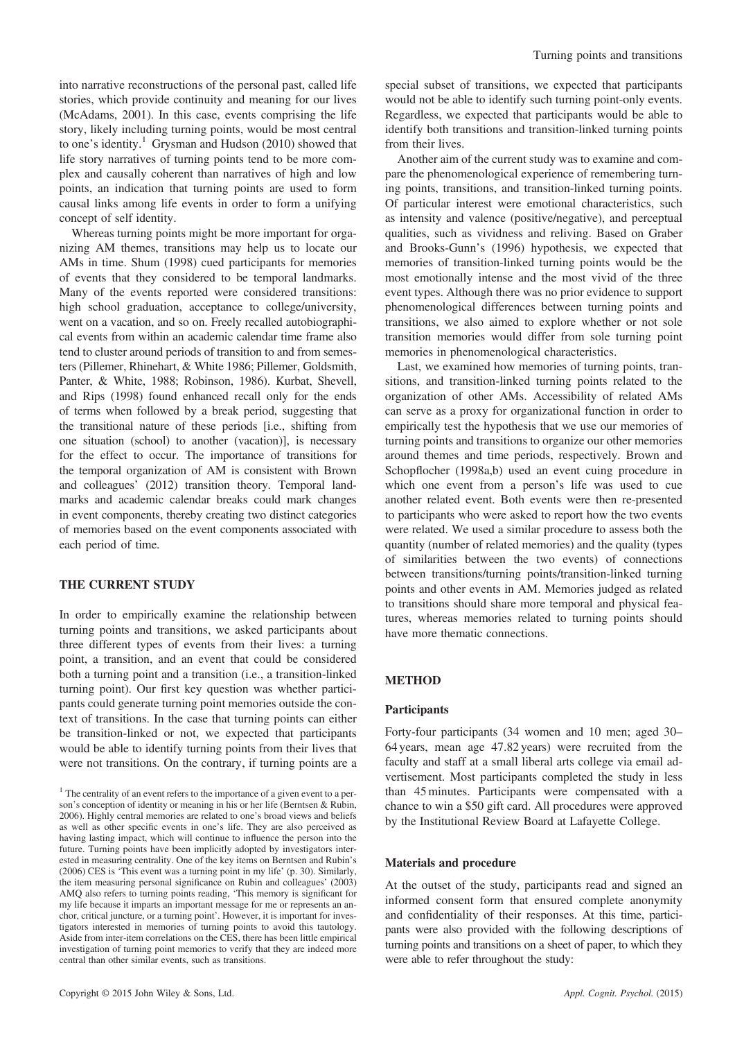into narrative reconstructions of the personal past, called life stories, which provide continuity and meaning for our lives (McAdams, 2001). In this case, events comprising the life story, likely including turning points, would be most central to one's identity.<sup>1</sup> Grysman and Hudson (2010) showed that life story narratives of turning points tend to be more complex and causally coherent than narratives of high and low points, an indication that turning points are used to form causal links among life events in order to form a unifying concept of self identity.

Whereas turning points might be more important for organizing AM themes, transitions may help us to locate our AMs in time. Shum (1998) cued participants for memories of events that they considered to be temporal landmarks. Many of the events reported were considered transitions: high school graduation, acceptance to college/university, went on a vacation, and so on. Freely recalled autobiographical events from within an academic calendar time frame also tend to cluster around periods of transition to and from semesters (Pillemer, Rhinehart, & White 1986; Pillemer, Goldsmith, Panter, & White, 1988; Robinson, 1986). Kurbat, Shevell, and Rips (1998) found enhanced recall only for the ends of terms when followed by a break period, suggesting that the transitional nature of these periods [i.e., shifting from one situation (school) to another (vacation)], is necessary for the effect to occur. The importance of transitions for the temporal organization of AM is consistent with Brown and colleagues' (2012) transition theory. Temporal landmarks and academic calendar breaks could mark changes in event components, thereby creating two distinct categories of memories based on the event components associated with each period of time.

## THE CURRENT STUDY

In order to empirically examine the relationship between turning points and transitions, we asked participants about three different types of events from their lives: a turning point, a transition, and an event that could be considered both a turning point and a transition (i.e., a transition-linked turning point). Our first key question was whether participants could generate turning point memories outside the context of transitions. In the case that turning points can either be transition-linked or not, we expected that participants would be able to identify turning points from their lives that were not transitions. On the contrary, if turning points are a special subset of transitions, we expected that participants would not be able to identify such turning point-only events. Regardless, we expected that participants would be able to identify both transitions and transition-linked turning points from their lives.

Another aim of the current study was to examine and compare the phenomenological experience of remembering turning points, transitions, and transition-linked turning points. Of particular interest were emotional characteristics, such as intensity and valence (positive/negative), and perceptual qualities, such as vividness and reliving. Based on Graber and Brooks-Gunn's (1996) hypothesis, we expected that memories of transition-linked turning points would be the most emotionally intense and the most vivid of the three event types. Although there was no prior evidence to support phenomenological differences between turning points and transitions, we also aimed to explore whether or not sole transition memories would differ from sole turning point memories in phenomenological characteristics.

Last, we examined how memories of turning points, transitions, and transition-linked turning points related to the organization of other AMs. Accessibility of related AMs can serve as a proxy for organizational function in order to empirically test the hypothesis that we use our memories of turning points and transitions to organize our other memories around themes and time periods, respectively. Brown and Schopflocher (1998a,b) used an event cuing procedure in which one event from a person's life was used to cue another related event. Both events were then re-presented to participants who were asked to report how the two events were related. We used a similar procedure to assess both the quantity (number of related memories) and the quality (types of similarities between the two events) of connections between transitions/turning points/transition-linked turning points and other events in AM. Memories judged as related to transitions should share more temporal and physical features, whereas memories related to turning points should have more thematic connections.

# **METHOD**

## Participants

Forty-four participants (34 women and 10 men; aged 30– 64 years, mean age 47.82 years) were recruited from the faculty and staff at a small liberal arts college via email advertisement. Most participants completed the study in less than 45 minutes. Participants were compensated with a chance to win a \$50 gift card. All procedures were approved by the Institutional Review Board at Lafayette College.

## Materials and procedure

At the outset of the study, participants read and signed an informed consent form that ensured complete anonymity and confidentiality of their responses. At this time, participants were also provided with the following descriptions of turning points and transitions on a sheet of paper, to which they were able to refer throughout the study:

 $<sup>1</sup>$  The centrality of an event refers to the importance of a given event to a per-</sup> son's conception of identity or meaning in his or her life (Berntsen & Rubin, 2006). Highly central memories are related to one's broad views and beliefs as well as other specific events in one's life. They are also perceived as having lasting impact, which will continue to influence the person into the future. Turning points have been implicitly adopted by investigators interested in measuring centrality. One of the key items on Berntsen and Rubin's (2006) CES is 'This event was a turning point in my life' (p. 30). Similarly, the item measuring personal significance on Rubin and colleagues' (2003) AMQ also refers to turning points reading, 'This memory is significant for my life because it imparts an important message for me or represents an anchor, critical juncture, or a turning point'. However, it is important for investigators interested in memories of turning points to avoid this tautology. Aside from inter-item correlations on the CES, there has been little empirical investigation of turning point memories to verify that they are indeed more central than other similar events, such as transitions.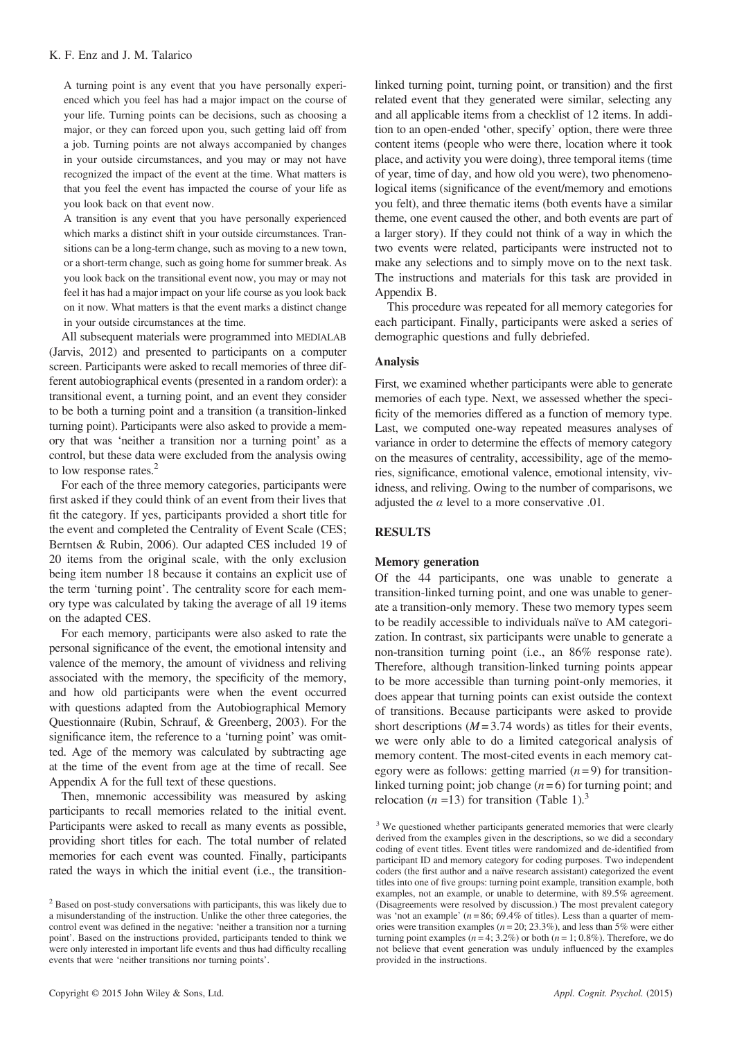A turning point is any event that you have personally experienced which you feel has had a major impact on the course of your life. Turning points can be decisions, such as choosing a major, or they can forced upon you, such getting laid off from a job. Turning points are not always accompanied by changes in your outside circumstances, and you may or may not have recognized the impact of the event at the time. What matters is that you feel the event has impacted the course of your life as you look back on that event now.

A transition is any event that you have personally experienced which marks a distinct shift in your outside circumstances. Transitions can be a long-term change, such as moving to a new town, or a short-term change, such as going home for summer break. As you look back on the transitional event now, you may or may not feel it has had a major impact on your life course as you look back on it now. What matters is that the event marks a distinct change in your outside circumstances at the time.

All subsequent materials were programmed into MEDIALAB (Jarvis, 2012) and presented to participants on a computer screen. Participants were asked to recall memories of three different autobiographical events (presented in a random order): a transitional event, a turning point, and an event they consider to be both a turning point and a transition (a transition-linked turning point). Participants were also asked to provide a memory that was 'neither a transition nor a turning point' as a control, but these data were excluded from the analysis owing to low response rates.<sup>2</sup>

For each of the three memory categories, participants were first asked if they could think of an event from their lives that fit the category. If yes, participants provided a short title for the event and completed the Centrality of Event Scale (CES; Berntsen & Rubin, 2006). Our adapted CES included 19 of 20 items from the original scale, with the only exclusion being item number 18 because it contains an explicit use of the term 'turning point'. The centrality score for each memory type was calculated by taking the average of all 19 items on the adapted CES.

For each memory, participants were also asked to rate the personal significance of the event, the emotional intensity and valence of the memory, the amount of vividness and reliving associated with the memory, the specificity of the memory, and how old participants were when the event occurred with questions adapted from the Autobiographical Memory Questionnaire (Rubin, Schrauf, & Greenberg, 2003). For the significance item, the reference to a 'turning point' was omitted. Age of the memory was calculated by subtracting age at the time of the event from age at the time of recall. See Appendix A for the full text of these questions.

Then, mnemonic accessibility was measured by asking participants to recall memories related to the initial event. Participants were asked to recall as many events as possible, providing short titles for each. The total number of related memories for each event was counted. Finally, participants rated the ways in which the initial event (i.e., the transitionlinked turning point, turning point, or transition) and the first related event that they generated were similar, selecting any and all applicable items from a checklist of 12 items. In addition to an open-ended 'other, specify' option, there were three content items (people who were there, location where it took place, and activity you were doing), three temporal items (time of year, time of day, and how old you were), two phenomenological items (significance of the event/memory and emotions you felt), and three thematic items (both events have a similar theme, one event caused the other, and both events are part of a larger story). If they could not think of a way in which the two events were related, participants were instructed not to make any selections and to simply move on to the next task. The instructions and materials for this task are provided in Appendix B.

This procedure was repeated for all memory categories for each participant. Finally, participants were asked a series of demographic questions and fully debriefed.

#### Analysis

First, we examined whether participants were able to generate memories of each type. Next, we assessed whether the specificity of the memories differed as a function of memory type. Last, we computed one-way repeated measures analyses of variance in order to determine the effects of memory category on the measures of centrality, accessibility, age of the memories, significance, emotional valence, emotional intensity, vividness, and reliving. Owing to the number of comparisons, we adjusted the  $\alpha$  level to a more conservative .01.

## RESULTS

## Memory generation

Of the 44 participants, one was unable to generate a transition-linked turning point, and one was unable to generate a transition-only memory. These two memory types seem to be readily accessible to individuals naïve to AM categorization. In contrast, six participants were unable to generate a non-transition turning point (i.e., an 86% response rate). Therefore, although transition-linked turning points appear to be more accessible than turning point-only memories, it does appear that turning points can exist outside the context of transitions. Because participants were asked to provide short descriptions  $(M = 3.74$  words) as titles for their events, we were only able to do a limited categorical analysis of memory content. The most-cited events in each memory category were as follows: getting married  $(n=9)$  for transitionlinked turning point; job change  $(n=6)$  for turning point; and relocation ( $n = 13$ ) for transition (Table 1).<sup>3</sup>

<sup>&</sup>lt;sup>2</sup> Based on post-study conversations with participants, this was likely due to a misunderstanding of the instruction. Unlike the other three categories, the control event was defined in the negative: 'neither a transition nor a turning point'. Based on the instructions provided, participants tended to think we were only interested in important life events and thus had difficulty recalling events that were 'neither transitions nor turning points'.

<sup>&</sup>lt;sup>3</sup> We questioned whether participants generated memories that were clearly derived from the examples given in the descriptions, so we did a secondary coding of event titles. Event titles were randomized and de-identified from participant ID and memory category for coding purposes. Two independent coders (the first author and a naïve research assistant) categorized the event titles into one of five groups: turning point example, transition example, both examples, not an example, or unable to determine, with 89.5% agreement. (Disagreements were resolved by discussion.) The most prevalent category was 'not an example' ( $n = 86$ ;  $69.4\%$  of titles). Less than a quarter of memories were transition examples ( $n = 20$ ; 23.3%), and less than 5% were either turning point examples ( $n = 4$ ; 3.2%) or both ( $n = 1$ ; 0.8%). Therefore, we do not believe that event generation was unduly influenced by the examples provided in the instructions.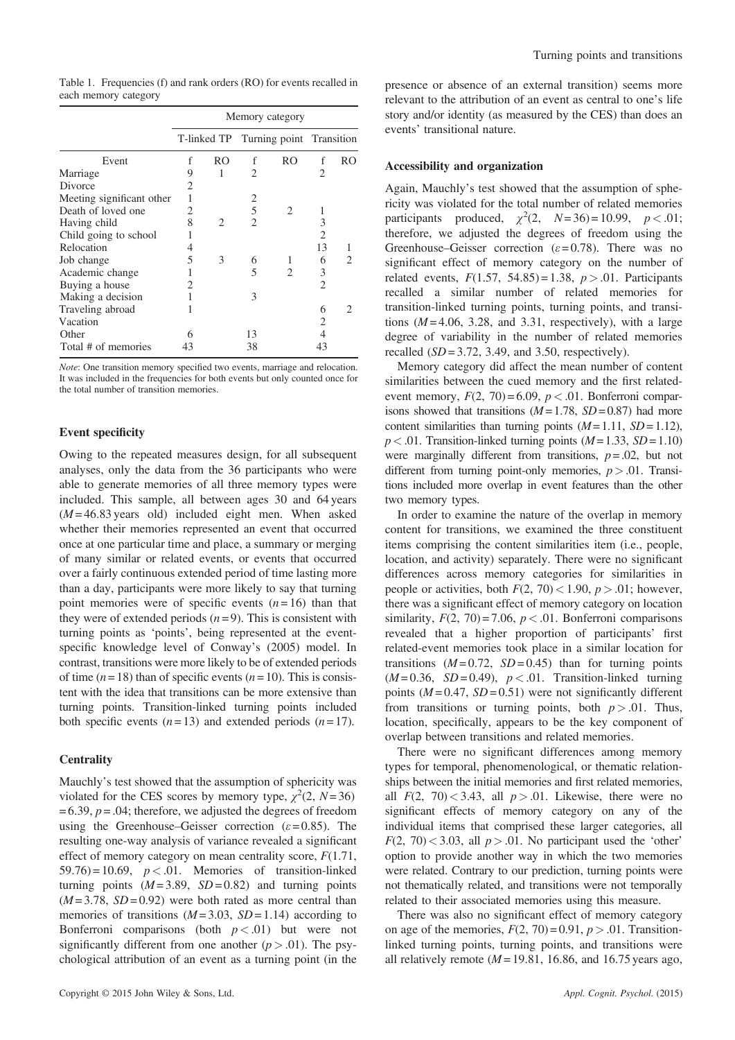Table 1. Frequencies (f) and rank orders (RO) for events recalled in each memory category

|                           | Memory category |                |                                      |                             |    |    |
|---------------------------|-----------------|----------------|--------------------------------------|-----------------------------|----|----|
|                           |                 |                | T-linked TP Turning point Transition |                             |    |    |
| Event                     | f               | R <sub>O</sub> | f                                    | R <sub>O</sub>              | f  | RO |
| Marriage                  | 9               | 1              | 2                                    |                             | 2  |    |
| Divorce                   | 2               |                |                                      |                             |    |    |
| Meeting significant other |                 |                |                                      |                             |    |    |
| Death of loved one        | 2               |                | 5                                    | $\mathcal{D}_{\mathcal{L}}$ |    |    |
| Having child              | 8               | 2              | 2                                    |                             | 3  |    |
| Child going to school     |                 |                |                                      |                             | 2  |    |
| Relocation                |                 |                |                                      |                             | 13 |    |
| Job change                | 5               | 3              | 6                                    |                             | 6  | 2  |
| Academic change           |                 |                | 5                                    | 2                           | 3  |    |
| Buying a house            | 2               |                |                                      |                             | 2  |    |
| Making a decision         |                 |                | 3                                    |                             |    |    |
| Traveling abroad          |                 |                |                                      |                             | 6  | 2  |
| Vacation                  |                 |                |                                      |                             | 2  |    |
| Other                     | 6               |                | 13                                   |                             | 4  |    |
| Total # of memories       | 43              |                | 38                                   |                             | 43 |    |

Note: One transition memory specified two events, marriage and relocation. It was included in the frequencies for both events but only counted once for the total number of transition memories.

## Event specificity

Owing to the repeated measures design, for all subsequent analyses, only the data from the 36 participants who were able to generate memories of all three memory types were included. This sample, all between ages 30 and 64 years  $(M = 46.83$  years old) included eight men. When asked whether their memories represented an event that occurred once at one particular time and place, a summary or merging of many similar or related events, or events that occurred over a fairly continuous extended period of time lasting more than a day, participants were more likely to say that turning point memories were of specific events  $(n=16)$  than that they were of extended periods  $(n=9)$ . This is consistent with turning points as 'points', being represented at the eventspecific knowledge level of Conway's (2005) model. In contrast, transitions were more likely to be of extended periods of time  $(n = 18)$  than of specific events  $(n = 10)$ . This is consistent with the idea that transitions can be more extensive than turning points. Transition-linked turning points included both specific events  $(n=13)$  and extended periods  $(n=17)$ .

#### **Centrality**

Mauchly's test showed that the assumption of sphericity was violated for the CES scores by memory type,  $\chi^2(2, N=36)$  $= 6.39, p = .04$ ; therefore, we adjusted the degrees of freedom using the Greenhouse–Geisser correction ( $\varepsilon$ =0.85). The resulting one-way analysis of variance revealed a significant effect of memory category on mean centrality score,  $F(1.71,$ 59.76) = 10.69,  $p < .01$ . Memories of transition-linked turning points  $(M = 3.89, SD = 0.82)$  and turning points  $(M=3.78, SD=0.92)$  were both rated as more central than memories of transitions  $(M=3.03, SD=1.14)$  according to Bonferroni comparisons (both  $p < .01$ ) but were not significantly different from one another  $(p > .01)$ . The psychological attribution of an event as a turning point (in the presence or absence of an external transition) seems more relevant to the attribution of an event as central to one's life story and/or identity (as measured by the CES) than does an events' transitional nature.

#### Accessibility and organization

Again, Mauchly's test showed that the assumption of sphericity was violated for the total number of related memories participants produced,  $\chi^2(2, N=36) = 10.99$ ,  $p < .01$ ; therefore, we adjusted the degrees of freedom using the Greenhouse–Geisser correction ( $\varepsilon$  = 0.78). There was no significant effect of memory category on the number of related events,  $F(1.57, 54.85) = 1.38$ ,  $p > .01$ . Participants recalled a similar number of related memories for transition-linked turning points, turning points, and transitions  $(M=4.06, 3.28,$  and 3.31, respectively), with a large degree of variability in the number of related memories recalled  $(SD = 3.72, 3.49, \text{ and } 3.50, \text{ respectively.}$ 

Memory category did affect the mean number of content similarities between the cued memory and the first relatedevent memory,  $F(2, 70) = 6.09$ ,  $p < .01$ . Bonferroni comparisons showed that transitions  $(M= 1.78, SD = 0.87)$  had more content similarities than turning points  $(M=1.11, SD=1.12)$ ,  $p < .01$ . Transition-linked turning points ( $M = 1.33$ ,  $SD = 1.10$ ) were marginally different from transitions,  $p = .02$ , but not different from turning point-only memories,  $p > .01$ . Transitions included more overlap in event features than the other two memory types.

In order to examine the nature of the overlap in memory content for transitions, we examined the three constituent items comprising the content similarities item (i.e., people, location, and activity) separately. There were no significant differences across memory categories for similarities in people or activities, both  $F(2, 70) < 1.90$ ,  $p > 0.01$ ; however, there was a significant effect of memory category on location similarity,  $F(2, 70) = 7.06$ ,  $p < .01$ . Bonferroni comparisons revealed that a higher proportion of participants' first related-event memories took place in a similar location for transitions  $(M=0.72, SD=0.45)$  than for turning points  $(M=0.36, SD=0.49), p < .01.$  Transition-linked turning points  $(M=0.47, SD=0.51)$  were not significantly different from transitions or turning points, both  $p > .01$ . Thus, location, specifically, appears to be the key component of overlap between transitions and related memories.

There were no significant differences among memory types for temporal, phenomenological, or thematic relationships between the initial memories and first related memories, all  $F(2, 70) < 3.43$ , all  $p > 0.01$ . Likewise, there were no significant effects of memory category on any of the individual items that comprised these larger categories, all  $F(2, 70)$  < 3.03, all  $p > .01$ . No participant used the 'other' option to provide another way in which the two memories were related. Contrary to our prediction, turning points were not thematically related, and transitions were not temporally related to their associated memories using this measure.

There was also no significant effect of memory category on age of the memories,  $F(2, 70) = 0.91$ ,  $p > .01$ . Transitionlinked turning points, turning points, and transitions were all relatively remote  $(M = 19.81, 16.86,$  and 16.75 years ago,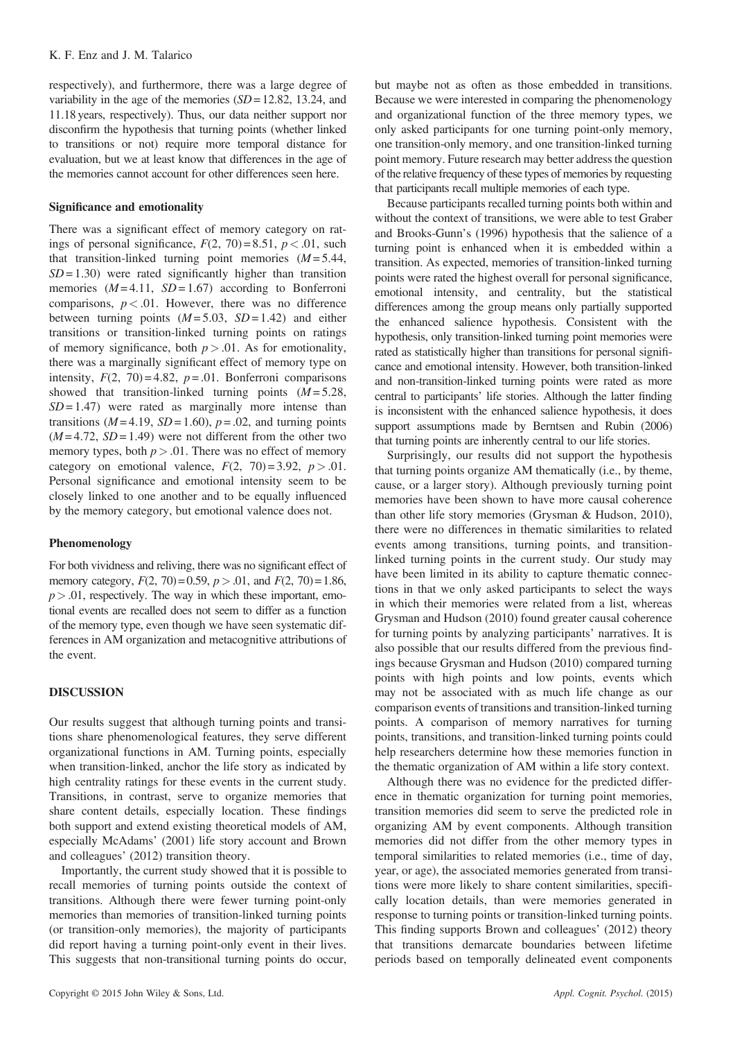respectively), and furthermore, there was a large degree of variability in the age of the memories  $(SD= 12.82, 13.24,$  and 11.18 years, respectively). Thus, our data neither support nor disconfirm the hypothesis that turning points (whether linked to transitions or not) require more temporal distance for evaluation, but we at least know that differences in the age of the memories cannot account for other differences seen here.

#### Significance and emotionality

There was a significant effect of memory category on ratings of personal significance,  $F(2, 70) = 8.51$ ,  $p < .01$ , such that transition-linked turning point memories  $(M=5.44,$  $SD = 1.30$ ) were rated significantly higher than transition memories  $(M=4.11, SD=1.67)$  according to Bonferroni comparisons,  $p < .01$ . However, there was no difference between turning points  $(M=5.03, SD=1.42)$  and either transitions or transition-linked turning points on ratings of memory significance, both  $p > .01$ . As for emotionality, there was a marginally significant effect of memory type on intensity,  $F(2, 70) = 4.82$ ,  $p = .01$ . Bonferroni comparisons showed that transition-linked turning points  $(M=5.28,$  $SD = 1.47$ ) were rated as marginally more intense than transitions ( $M = 4.19$ ,  $SD = 1.60$ ),  $p = .02$ , and turning points  $(M=4.72, SD=1.49)$  were not different from the other two memory types, both  $p > 0.01$ . There was no effect of memory category on emotional valence,  $F(2, 70) = 3.92$ ,  $p > .01$ . Personal significance and emotional intensity seem to be closely linked to one another and to be equally influenced by the memory category, but emotional valence does not.

#### Phenomenology

For both vividness and reliving, there was no significant effect of memory category,  $F(2, 70) = 0.59$ ,  $p > 0.01$ , and  $F(2, 70) = 1.86$ ,  $p > .01$ , respectively. The way in which these important, emotional events are recalled does not seem to differ as a function of the memory type, even though we have seen systematic differences in AM organization and metacognitive attributions of the event.

#### DISCUSSION

Our results suggest that although turning points and transitions share phenomenological features, they serve different organizational functions in AM. Turning points, especially when transition-linked, anchor the life story as indicated by high centrality ratings for these events in the current study. Transitions, in contrast, serve to organize memories that share content details, especially location. These findings both support and extend existing theoretical models of AM, especially McAdams' (2001) life story account and Brown and colleagues' (2012) transition theory.

Importantly, the current study showed that it is possible to recall memories of turning points outside the context of transitions. Although there were fewer turning point-only memories than memories of transition-linked turning points (or transition-only memories), the majority of participants did report having a turning point-only event in their lives. This suggests that non-transitional turning points do occur, but maybe not as often as those embedded in transitions. Because we were interested in comparing the phenomenology and organizational function of the three memory types, we only asked participants for one turning point-only memory, one transition-only memory, and one transition-linked turning point memory. Future research may better address the question of the relative frequency of these types of memories by requesting that participants recall multiple memories of each type.

Because participants recalled turning points both within and without the context of transitions, we were able to test Graber and Brooks-Gunn's (1996) hypothesis that the salience of a turning point is enhanced when it is embedded within a transition. As expected, memories of transition-linked turning points were rated the highest overall for personal significance, emotional intensity, and centrality, but the statistical differences among the group means only partially supported the enhanced salience hypothesis. Consistent with the hypothesis, only transition-linked turning point memories were rated as statistically higher than transitions for personal significance and emotional intensity. However, both transition-linked and non-transition-linked turning points were rated as more central to participants' life stories. Although the latter finding is inconsistent with the enhanced salience hypothesis, it does support assumptions made by Berntsen and Rubin (2006) that turning points are inherently central to our life stories.

Surprisingly, our results did not support the hypothesis that turning points organize AM thematically (i.e., by theme, cause, or a larger story). Although previously turning point memories have been shown to have more causal coherence than other life story memories (Grysman & Hudson, 2010), there were no differences in thematic similarities to related events among transitions, turning points, and transitionlinked turning points in the current study. Our study may have been limited in its ability to capture thematic connections in that we only asked participants to select the ways in which their memories were related from a list, whereas Grysman and Hudson (2010) found greater causal coherence for turning points by analyzing participants' narratives. It is also possible that our results differed from the previous findings because Grysman and Hudson (2010) compared turning points with high points and low points, events which may not be associated with as much life change as our comparison events of transitions and transition-linked turning points. A comparison of memory narratives for turning points, transitions, and transition-linked turning points could help researchers determine how these memories function in the thematic organization of AM within a life story context.

Although there was no evidence for the predicted difference in thematic organization for turning point memories, transition memories did seem to serve the predicted role in organizing AM by event components. Although transition memories did not differ from the other memory types in temporal similarities to related memories (i.e., time of day, year, or age), the associated memories generated from transitions were more likely to share content similarities, specifically location details, than were memories generated in response to turning points or transition-linked turning points. This finding supports Brown and colleagues' (2012) theory that transitions demarcate boundaries between lifetime periods based on temporally delineated event components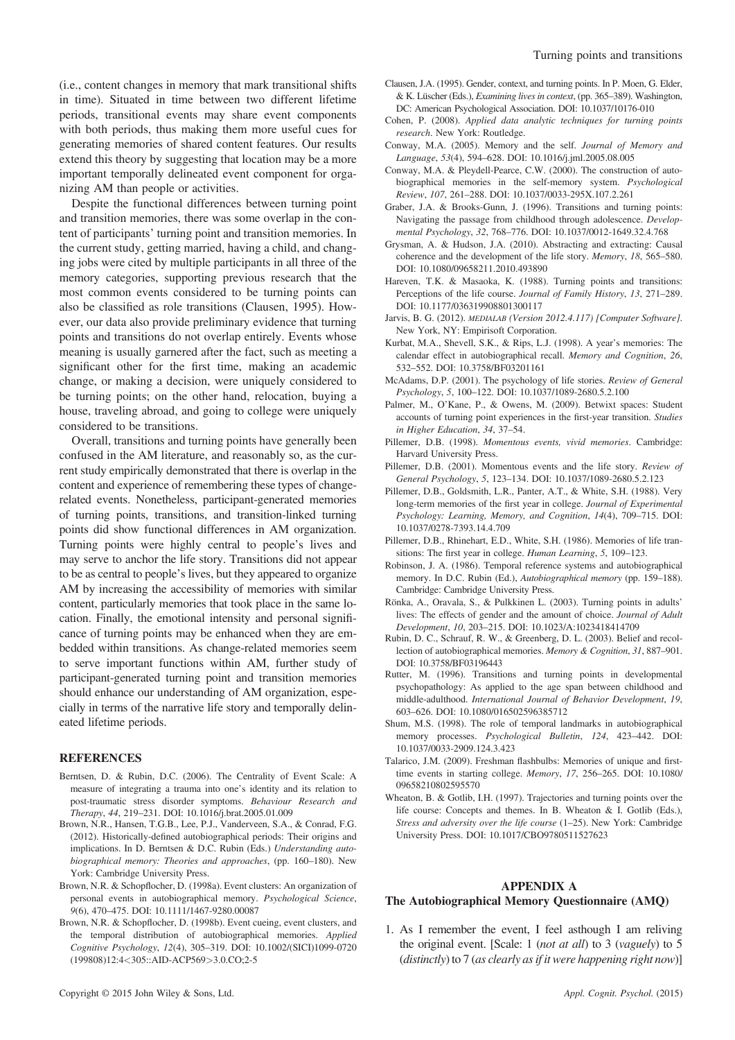(i.e., content changes in memory that mark transitional shifts in time). Situated in time between two different lifetime periods, transitional events may share event components with both periods, thus making them more useful cues for generating memories of shared content features. Our results extend this theory by suggesting that location may be a more important temporally delineated event component for organizing AM than people or activities.

Despite the functional differences between turning point and transition memories, there was some overlap in the content of participants' turning point and transition memories. In the current study, getting married, having a child, and changing jobs were cited by multiple participants in all three of the memory categories, supporting previous research that the most common events considered to be turning points can also be classified as role transitions (Clausen, 1995). However, our data also provide preliminary evidence that turning points and transitions do not overlap entirely. Events whose meaning is usually garnered after the fact, such as meeting a significant other for the first time, making an academic change, or making a decision, were uniquely considered to be turning points; on the other hand, relocation, buying a house, traveling abroad, and going to college were uniquely considered to be transitions.

Overall, transitions and turning points have generally been confused in the AM literature, and reasonably so, as the current study empirically demonstrated that there is overlap in the content and experience of remembering these types of changerelated events. Nonetheless, participant-generated memories of turning points, transitions, and transition-linked turning points did show functional differences in AM organization. Turning points were highly central to people's lives and may serve to anchor the life story. Transitions did not appear to be as central to people's lives, but they appeared to organize AM by increasing the accessibility of memories with similar content, particularly memories that took place in the same location. Finally, the emotional intensity and personal significance of turning points may be enhanced when they are embedded within transitions. As change-related memories seem to serve important functions within AM, further study of participant-generated turning point and transition memories should enhance our understanding of AM organization, especially in terms of the narrative life story and temporally delineated lifetime periods.

#### REFERENCES

- Berntsen, D. & Rubin, D.C. (2006). The Centrality of Event Scale: A measure of integrating a trauma into one's identity and its relation to post-traumatic stress disorder symptoms. Behaviour Research and Therapy, 44, 219–231. DOI: 10.1016/j.brat.2005.01.009
- Brown, N.R., Hansen, T.G.B., Lee, P.J., Vanderveen, S.A., & Conrad, F.G. (2012). Historically-defined autobiographical periods: Their origins and implications. In D. Berntsen & D.C. Rubin (Eds.) Understanding autobiographical memory: Theories and approaches, (pp. 160–180). New York: Cambridge University Press.
- Brown, N.R. & Schopflocher, D. (1998a). Event clusters: An organization of personal events in autobiographical memory. Psychological Science, 9(6), 470–475. DOI: 10.1111/1467-9280.00087
- Brown, N.R. & Schopflocher, D. (1998b). Event cueing, event clusters, and the temporal distribution of autobiographical memories. Applied Cognitive Psychology, 12(4), 305–319. DOI: 10.1002/(SICI)1099-0720 (199808)12:4<305::AID-ACP569>3.0.CO;2-5
- Clausen, J.A. (1995). Gender, context, and turning points. In P. Moen, G. Elder, & K. Lüscher (Eds.), Examining lives in context, (pp. 365–389). Washington, DC: American Psychological Association. DOI: 10.1037/10176-010
- Cohen, P. (2008). Applied data analytic techniques for turning points research. New York: Routledge.
- Conway, M.A. (2005). Memory and the self. Journal of Memory and Language, 53(4), 594–628. DOI: 10.1016/j.jml.2005.08.005
- Conway, M.A. & Pleydell-Pearce, C.W. (2000). The construction of autobiographical memories in the self-memory system. Psychological Review, 107, 261–288. DOI: 10.1037/0033-295X.107.2.261
- Graber, J.A. & Brooks-Gunn, J. (1996). Transitions and turning points: Navigating the passage from childhood through adolescence. Developmental Psychology, 32, 768–776. DOI: 10.1037/0012-1649.32.4.768
- Grysman, A. & Hudson, J.A. (2010). Abstracting and extracting: Causal coherence and the development of the life story. Memory, 18, 565–580. DOI: 10.1080/09658211.2010.493890
- Hareven, T.K. & Masaoka, K. (1988). Turning points and transitions: Perceptions of the life course. Journal of Family History, 13, 271–289. DOI: 10.1177/036319908801300117
- Jarvis, B. G. (2012). MEDIALAB (Version 2012.4.117) [Computer Software]. New York, NY: Empirisoft Corporation.
- Kurbat, M.A., Shevell, S.K., & Rips, L.J. (1998). A year's memories: The calendar effect in autobiographical recall. Memory and Cognition, 26, 532–552. DOI: 10.3758/BF03201161
- McAdams, D.P. (2001). The psychology of life stories. Review of General Psychology, 5, 100–122. DOI: 10.1037/1089-2680.5.2.100
- Palmer, M., O'Kane, P., & Owens, M. (2009). Betwixt spaces: Student accounts of turning point experiences in the first-year transition. Studies in Higher Education, 34, 37–54.
- Pillemer, D.B. (1998). Momentous events, vivid memories. Cambridge: Harvard University Press.
- Pillemer, D.B. (2001). Momentous events and the life story. Review of General Psychology, 5, 123–134. DOI: 10.1037/1089-2680.5.2.123
- Pillemer, D.B., Goldsmith, L.R., Panter, A.T., & White, S.H. (1988). Very long-term memories of the first year in college. Journal of Experimental Psychology: Learning, Memory, and Cognition, 14(4), 709–715. DOI: 10.1037/0278-7393.14.4.709
- Pillemer, D.B., Rhinehart, E.D., White, S.H. (1986). Memories of life transitions: The first year in college. Human Learning, 5, 109–123.
- Robinson, J. A. (1986). Temporal reference systems and autobiographical memory. In D.C. Rubin (Ed.), Autobiographical memory (pp. 159–188). Cambridge: Cambridge University Press.
- Rönka, A., Oravala, S., & Pulkkinen L. (2003). Turning points in adults' lives: The effects of gender and the amount of choice. Journal of Adult Development, 10, 203–215. DOI: 10.1023/A:1023418414709
- Rubin, D. C., Schrauf, R. W., & Greenberg, D. L. (2003). Belief and recollection of autobiographical memories. Memory & Cognition, 31, 887–901. DOI: 10.3758/BF03196443
- Rutter, M. (1996). Transitions and turning points in developmental psychopathology: As applied to the age span between childhood and middle-adulthood. International Journal of Behavior Development, 19, 603–626. DOI: 10.1080/016502596385712
- Shum, M.S. (1998). The role of temporal landmarks in autobiographical memory processes. Psychological Bulletin, 124, 423–442. DOI: 10.1037/0033-2909.124.3.423
- Talarico, J.M. (2009). Freshman flashbulbs: Memories of unique and firsttime events in starting college. Memory, 17, 256–265. DOI: 10.1080/ 09658210802595570
- Wheaton, B. & Gotlib, I.H. (1997). Trajectories and turning points over the life course: Concepts and themes. In B. Wheaton & I. Gotlib (Eds.), Stress and adversity over the life course (1–25). New York: Cambridge University Press. DOI: 10.1017/CBO9780511527623

#### APPENDIX A

#### The Autobiographical Memory Questionnaire (AMQ)

1. As I remember the event, I feel asthough I am reliving the original event. [Scale: 1 (not at all) to 3 (vaguely) to 5 (distinctly) to 7 (as clearly as if it were happening right now)]